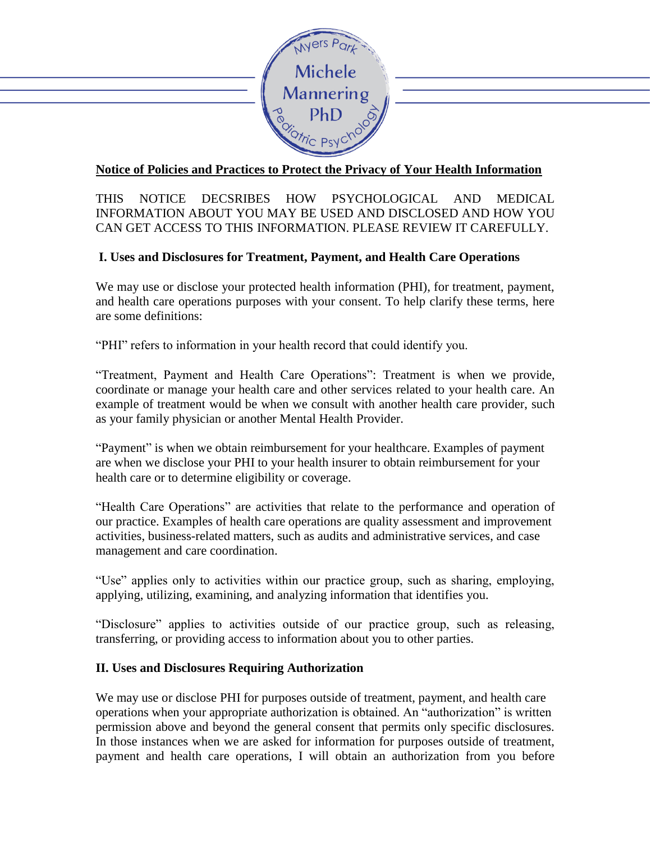

# **Notice of Policies and Practices to Protect the Privacy of Your Health Information**

## THIS NOTICE DECSRIBES HOW PSYCHOLOGICAL AND MEDICAL INFORMATION ABOUT YOU MAY BE USED AND DISCLOSED AND HOW YOU CAN GET ACCESS TO THIS INFORMATION. PLEASE REVIEW IT CAREFULLY.

## **I. Uses and Disclosures for Treatment, Payment, and Health Care Operations**

We may use or disclose your protected health information (PHI), for treatment, payment, and health care operations purposes with your consent. To help clarify these terms, here are some definitions:

"PHI" refers to information in your health record that could identify you.

"Treatment, Payment and Health Care Operations": Treatment is when we provide, coordinate or manage your health care and other services related to your health care. An example of treatment would be when we consult with another health care provider, such as your family physician or another Mental Health Provider.

"Payment" is when we obtain reimbursement for your healthcare. Examples of payment are when we disclose your PHI to your health insurer to obtain reimbursement for your health care or to determine eligibility or coverage.

"Health Care Operations" are activities that relate to the performance and operation of our practice. Examples of health care operations are quality assessment and improvement activities, business-related matters, such as audits and administrative services, and case management and care coordination.

"Use" applies only to activities within our practice group, such as sharing, employing, applying, utilizing, examining, and analyzing information that identifies you.

"Disclosure" applies to activities outside of our practice group, such as releasing, transferring, or providing access to information about you to other parties.

### **II. Uses and Disclosures Requiring Authorization**

We may use or disclose PHI for purposes outside of treatment, payment, and health care operations when your appropriate authorization is obtained. An "authorization" is written permission above and beyond the general consent that permits only specific disclosures. In those instances when we are asked for information for purposes outside of treatment, payment and health care operations, I will obtain an authorization from you before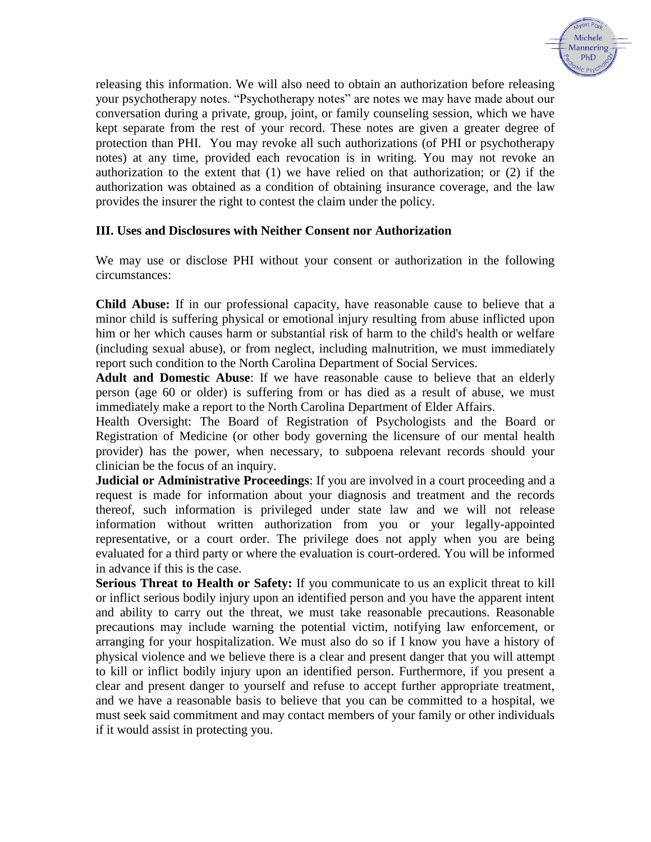

releasing this information. We will also need to obtain an authorization before releasing your psychotherapy notes. "Psychotherapy notes" are notes we may have made about our conversation during a private, group, joint, or family counseling session, which we have kept separate from the rest of your record. These notes are given a greater degree of protection than PHI. You may revoke all such authorizations (of PHI or psychotherapy notes) at any time, provided each revocation is in writing. You may not revoke an authorization to the extent that (1) we have relied on that authorization; or (2) if the authorization was obtained as a condition of obtaining insurance coverage, and the law provides the insurer the right to contest the claim under the policy.

#### **III. Uses and Disclosures with Neither Consent nor Authorization**

We may use or disclose PHI without your consent or authorization in the following circumstances:

**Child Abuse:** If in our professional capacity, have reasonable cause to believe that a minor child is suffering physical or emotional injury resulting from abuse inflicted upon him or her which causes harm or substantial risk of harm to the child's health or welfare (including sexual abuse), or from neglect, including malnutrition, we must immediately report such condition to the North Carolina Department of Social Services.

**Adult and Domestic Abuse**: If we have reasonable cause to believe that an elderly person (age 60 or older) is suffering from or has died as a result of abuse, we must immediately make a report to the North Carolina Department of Elder Affairs.

Health Oversight: The Board of Registration of Psychologists and the Board or Registration of Medicine (or other body governing the licensure of our mental health provider) has the power, when necessary, to subpoena relevant records should your clinician be the focus of an inquiry.

**Judicial or Administrative Proceedings**: If you are involved in a court proceeding and a request is made for information about your diagnosis and treatment and the records thereof, such information is privileged under state law and we will not release information without written authorization from you or your legally-appointed representative, or a court order. The privilege does not apply when you are being evaluated for a third party or where the evaluation is court-ordered. You will be informed in advance if this is the case.

**Serious Threat to Health or Safety:** If you communicate to us an explicit threat to kill or inflict serious bodily injury upon an identified person and you have the apparent intent and ability to carry out the threat, we must take reasonable precautions. Reasonable precautions may include warning the potential victim, notifying law enforcement, or arranging for your hospitalization. We must also do so if I know you have a history of physical violence and we believe there is a clear and present danger that you will attempt to kill or inflict bodily injury upon an identified person. Furthermore, if you present a clear and present danger to yourself and refuse to accept further appropriate treatment, and we have a reasonable basis to believe that you can be committed to a hospital, we must seek said commitment and may contact members of your family or other individuals if it would assist in protecting you.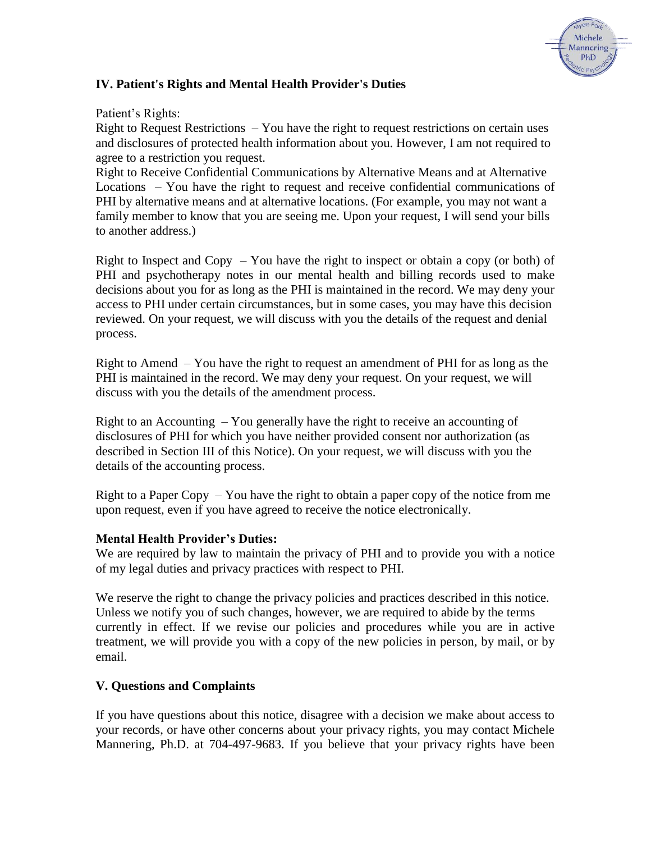

## **IV. Patient's Rights and Mental Health Provider's Duties**

#### Patient's Rights:

Right to Request Restrictions – You have the right to request restrictions on certain uses and disclosures of protected health information about you. However, I am not required to agree to a restriction you request.

Right to Receive Confidential Communications by Alternative Means and at Alternative Locations – You have the right to request and receive confidential communications of PHI by alternative means and at alternative locations. (For example, you may not want a family member to know that you are seeing me. Upon your request, I will send your bills to another address.)

Right to Inspect and Copy  $-$  You have the right to inspect or obtain a copy (or both) of PHI and psychotherapy notes in our mental health and billing records used to make decisions about you for as long as the PHI is maintained in the record. We may deny your access to PHI under certain circumstances, but in some cases, you may have this decision reviewed. On your request, we will discuss with you the details of the request and denial process.

Right to Amend – You have the right to request an amendment of PHI for as long as the PHI is maintained in the record. We may deny your request. On your request, we will discuss with you the details of the amendment process.

Right to an Accounting  $-$  You generally have the right to receive an accounting of disclosures of PHI for which you have neither provided consent nor authorization (as described in Section III of this Notice). On your request, we will discuss with you the details of the accounting process.

Right to a Paper Copy  $-$  You have the right to obtain a paper copy of the notice from me upon request, even if you have agreed to receive the notice electronically.

#### **Mental Health Provider's Duties:**

We are required by law to maintain the privacy of PHI and to provide you with a notice of my legal duties and privacy practices with respect to PHI.

We reserve the right to change the privacy policies and practices described in this notice. Unless we notify you of such changes, however, we are required to abide by the terms currently in effect. If we revise our policies and procedures while you are in active treatment, we will provide you with a copy of the new policies in person, by mail, or by email.

### **V. Questions and Complaints**

If you have questions about this notice, disagree with a decision we make about access to your records, or have other concerns about your privacy rights, you may contact Michele Mannering, Ph.D. at 704-497-9683. If you believe that your privacy rights have been